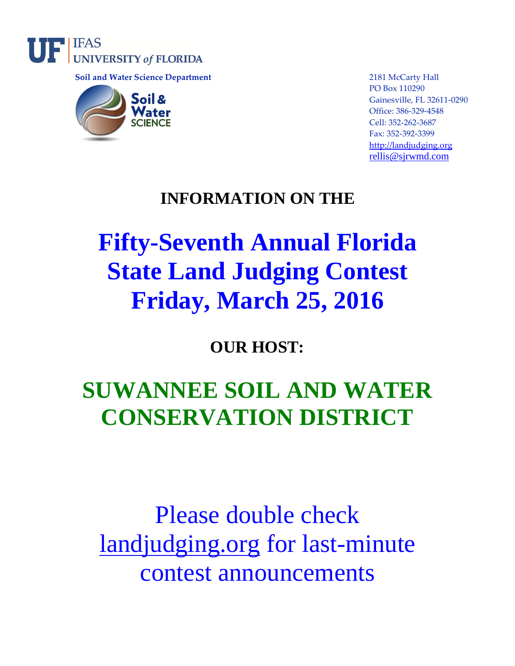

 **Soil and Water Science Department** 2181 McCarty Hall



PO Box 110290 Gainesville, FL 32611-0290 Office: 386-329-4548 Cell: 352-262-3687 Fax: 352-392-3399 [http://landjudging.org](http://landjudging.org/) [rellis@sjrwmd.com](mailto:rellis@sjrwmd.com)

### **INFORMATION ON THE**

# **Fifty-Seventh Annual Florida State Land Judging Contest Friday, March 25, 2016**

## **OUR HOST:**

## **SUWANNEE SOIL AND WATER CONSERVATION DISTRICT**

# Please double check [landjudging.org](http://landjudging.org/) for last-minute contest announcements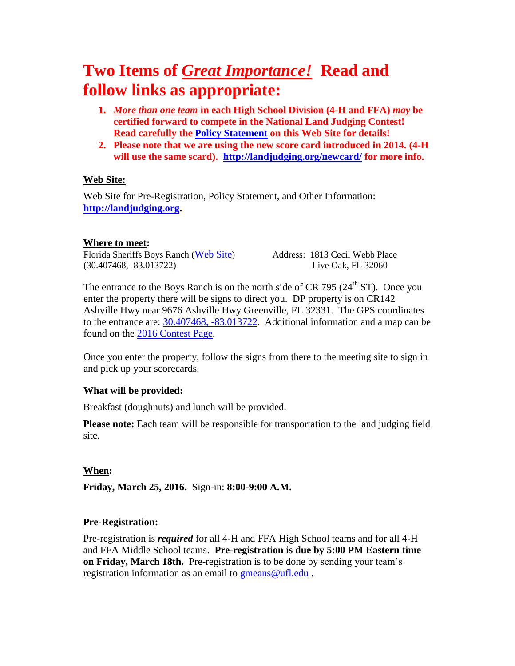## **Two Items of** *Great Importance!* **Read and follow links as appropriate:**

- **1.** *More than one team* **in each High School Division (4-H and FFA)** *may* **be certified forward to compete in the National Land Judging Contest! Read carefully the [Policy Statement](http://landjudging.org/about.shtml) on this Web Site for details!**
- **2. Please note that we are using the new score card introduced in 2014. (4-H will use the same scard). <http://landjudging.org/newcard/> for more info.**

#### **Web Site:**

Web Site for Pre-Registration, Policy Statement, and Other Information: **[http://landjudging.org.](http://landjudging.org/)**

#### **Where to meet:**

Florida Sheriffs Boys Ranch ([Web Site](https://www.youthranches.org/locations/boys-ranch)) Address: 1813 Cecil Webb Place (30.407468, -83.013722) Live Oak, FL 32060

The entrance to the Boys Ranch is on the north side of CR 795 ( $24<sup>th</sup>$  ST). Once you enter the property there will be signs to direct you. DP property is on CR142 Ashville Hwy near 9676 Ashville Hwy Greenville, FL 32331. The GPS coordinates to the entrance are: [30.407468, -83.013722.](https://www.google.com/maps/place/30%C2%B024) Additional information and a map can be found on the 2016 [Contest Page.](http://landjudging.org/contests/2016/)

Once you enter the property, follow the signs from there to the meeting site to sign in and pick up your scorecards.

#### **What will be provided:**

Breakfast (doughnuts) and lunch will be provided.

**Please note:** Each team will be responsible for transportation to the land judging field site.

#### **When:**

**Friday, March 25, 2016.** Sign-in: **8:00-9:00 A.M.**

#### **Pre-Registration:**

Pre-registration is *required* for all 4-H and FFA High School teams and for all 4-H and FFA Middle School teams. **Pre-registration is due by 5:00 PM Eastern time on Friday, March 18th.** Pre-registration is to be done by sending your team's registration information as an email to [gmeans@ufl.edu](mailto:gmeans@ufl.edu).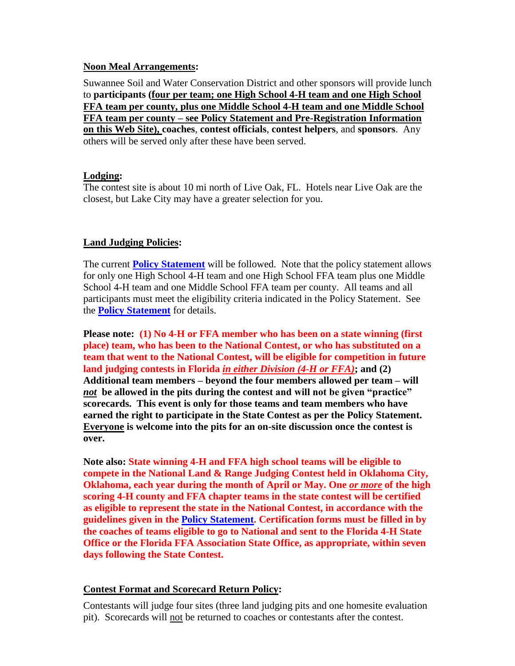#### **Noon Meal Arrangements:**

Suwannee Soil and Water Conservation District and other sponsors will provide lunch to **participants (four per team; one High School 4-H team and one High School FFA team per county, plus one Middle School 4-H team and one Middle School FFA team per county – see Policy Statement and Pre-Registration Information on this Web Site), coaches**, **contest officials**, **contest helpers**, and **sponsors**. Any others will be served only after these have been served.

#### **Lodging:**

The contest site is about 10 mi north of Live Oak, FL. Hotels near Live Oak are the closest, but Lake City may have a greater selection for you.

#### **Land Judging Policies:**

The current **[Policy Statement](http://landjudging.org/policy.shtml)** will be followed. Note that the policy statement allows for only one High School 4-H team and one High School FFA team plus one Middle School 4-H team and one Middle School FFA team per county. All teams and all participants must meet the eligibility criteria indicated in the Policy Statement. See the **[Policy Statement](http://landjudging.org/policy.shtml)** for details.

**Please note: (1) No 4-H or FFA member who has been on a state winning (first place) team, who has been to the National Contest, or who has substituted on a team that went to the National Contest, will be eligible for competition in future land judging contests in Florida** *in either Division (4-H or FFA)***; and (2) Additional team members – beyond the four members allowed per team – will**  *not* **be allowed in the pits during the contest and will not be given "practice" scorecards. This event is only for those teams and team members who have earned the right to participate in the State Contest as per the Policy Statement. Everyone is welcome into the pits for an on-site discussion once the contest is over.**

**Note also: State winning 4-H and FFA high school teams will be eligible to compete in the National Land & Range Judging Contest held in Oklahoma City, Oklahoma, each year during the month of April or May. One <u>or more</u> of the high scoring 4-H county and FFA chapter teams in the state contest will be certified as eligible to represent the state in the National Contest, in accordance with the guidelines given in the [Policy Statement.](http://landjudging.org/policy.shtml) Certification forms must be filled in by the coaches of teams eligible to go to National and sent to the Florida 4-H State Office or the Florida FFA Association State Office, as appropriate, within seven days following the State Contest.**

#### **Contest Format and Scorecard Return Policy:**

Contestants will judge four sites (three land judging pits and one homesite evaluation pit). Scorecards will not be returned to coaches or contestants after the contest.